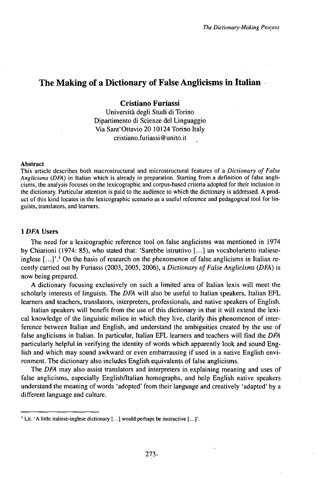# The Making of a Dictionary of False Anglicisms in Italian

# **Cristiano Furiassi**

Università degli Studi di Torino Dipartimento di Scienze del Linguaggio Via Sant'Ottavio 20 10124 Torino Italy cristiano.furiassi@unito.it

### Abstract

This article describes both macrostructural and microstructural features of a *Dictionary of False Anglicisms (DFA)* in Italian which is already in preparation. Starting from a definition of false anglicisms, the analysis focuses on the lexicographic and corpus-based criteria adopted for their inclusion in the dictionary. Particular attention is paid to the audience to which the dictionary is addressed. A product of this kind locates in the lexicographic scenario as a useful reference and pedagogical tool for linguists, translators, and learners.

# **1***DFA* **Users**

The need for a lexicographic reference tool on false anglicisms was mentioned in 1974 by Chiarioni (1974: 85), who stated that: 'Sarebbe istruttivo [...] un vocabolarietto italieseinglese  $\left[\ldots\right]$ .<sup>1</sup> On the basis of research on the phenomenon of false anglicisms in Italian recently carried out by Furiassi (2003, 2005, 2006), *&Dictionary ofFalseAnglicisms (DFA)* is now being prepared.

A dictionary focusing exclusively on such a limited area of Italian lexis will meet the scholarly interests of linguists. The *DFA* will also be useful to Italian speakers, Italian EFL learners and teachers, translators, interpreters, professionals, and native speakers of English.

Italian speakers will benefit from the use of this dictionary in that it will extend the lexical knowledge of the linguistic milieu in which they live, clarify this phenomenon of interference between Italian and English, and understand the ambiguities created by the use of false anglicisms in Italian. In particular, Italian EFL learners and teachers will find the *DFA* particularly helpful in verifying the identity of words which apparently look and sound English and which may sound awkward or even embarrassing if used in a native English environment. The dictionary also includes English equivalents of false anglicisms.

The *DFA* may also assist translators and interpreters in explaining meaning and uses of false anglicisms, especially English/Italian homographs, and help English native speakers understand the meaning ofwords 'adopted' from their language and creatively 'adapted' by a different language and culture.

<sup>1</sup> Lit. 'A little italiese-inglese dictionary [...] would perhaps be instructive [...]'.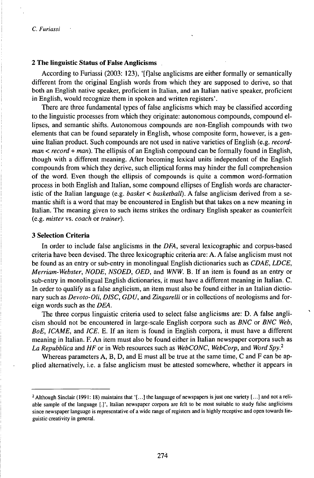# *2* **The linguistic Status of False Anglicisms**

According to Furiassi (2003: 123), '[fjalse anglicisms are either formally or semantically different from the original English words from which they are supposed to derive, so that both an English native speaker, proficient in Italian, and an Italian native speaker, proficient in English, would recognize them in spoken and written registers'.

There are three fundamental types of false anglicisms which may be classified according to the linguistic processes from which they originate: autonomous compounds, compound ellipses, and semantic shifts. Autonomous compounds are non-English compounds with two elements that can be found separately in English, whose composite form, however, is a genuine Italian product. Such compounds are not used in native varieties of English (e.g. *recordman < record + man).* The ellipsis of an English compound can be formally found in English, though with a different meaning. After becoming lexical units independent of the English compounds from which they derive, such elliptical forms may hinder the full comprehension of the word. Even though the ellipsis of compounds is quite a common word-formation process in both English and Italian, some compound ellipses of English words are characteristic of the Italian language (e.g. *basket < basketball).* A false anglicism derived from a semantic shift is a word that may be encountered in English but that takes on a new meaning in Italian. The meaning given to such items strikes the ordinary English speaker as counterfeit (e.g. *mister* vs. *coach* or *trainer).*

# **3 Selection Criteria**

In order to include false anglicisms in the *DFA,* several lexicographic and corpus-based criteria have been devised. The three lexicographic criteria are: A. A false anglicism must not be found as an entry or sub-entry in monolingual English dictionaries such as *CDAE, LDCE, Merriam-Webster, NODE, NSOED, OED,* and *WNW.* B. If an item is found as an entry or sub-entry in monolingual English dictionaries, it must have a different meaning in Italian. C. In order to qualify as a false anglicism, an item must also be found either in an Italian dictionary such as *Devoto-Oli, DISC, GDU,* and *Zingarelli* or in collections of neologisms and foreign words such as the *DEA.*

The three corpus linguistic criteria used to select false anglicisms are: D. A false anglicism should not be encountered in large-scale English corpora such as *BNC* or *BNC Web, BoE, ICAME,* and *ICE.* E. If an item is found in English corpora, it must have a different meaning in Italian. F. An item must also be found either in Italian newspaper corpora such as *La Repubblica* and *HF* or in Web resources such as *WebCONC, WebCorp,* and *Word Spy.<sup>2</sup>*

Whereas parameters A, B, D, and E must all be true at the same time, C and F can be applied alternatively, i.e. a false anglicism must be attested somewhere, whether it appears in

<sup>2</sup> Although Sinclair (1991: 18) maintains that '[...] the language of newspapers is just one variety [...] and not a reliable sample of the language [.]', Italian newspaper corpora are felt to be most suitable to study false anglicisms since newspaper language is representative of a wide range of registers and is highly receptive and open towards linguistic creativity in general.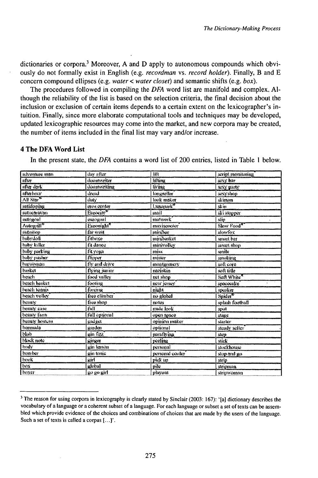dictionaries or corpora.<sup>3</sup> Moreover, A and D apply to autonomous compounds which obviously do not formally exist in English (e.g. *recordman* vs. *record holder*). Finally, B and E concern compound ellipses (e.g. *water* < *water* closet) and semantic shifts (e.g.  $box$ ).

The procedures followed in compiling the DFA word list are manifold and complex. Although the reliability of the list is based on the selection criteria, the final decision about the inclusion or exclusion of certain items depends to a certain extent on the lexicographer's intuition. Finally, since more elaborate computational tools and techniques may be developed, updated lexicographic resources may come into the market, and new corpora may be created, the number of items included in the final list may vary and/or increase.

# 4 The DFA Word List

In the present state, the DFA contains a word list of 200 entries, listed in Table 1 below.

| adventure man                | day after             | lilt                   | script monitoring    |
|------------------------------|-----------------------|------------------------|----------------------|
| after                        | doomwriter            | <b>lifting</b>         | sexy bar             |
| influr dark                  | doomwriting           | living                 | Sexy party           |
| afterhour                    | dread                 | longseller             | sexyshop             |
| $\overline{\text{All Star}}$ | duty.                 | look maker             | skiman               |
| antidoping                   | eros ecriter          | Lamapark <sup>30</sup> | skin                 |
| autocaravan                  | Eurocity <sup>®</sup> | mail                   | ski stopper          |
| mitogoal                     | earngoal              | matwork                | slin                 |
| Autogrill®                   | <b>Euronight</b>      | maxiscooter            | Slow Food*           |
| autostop                     | far west              | minibar                | slowfox              |
| babydoll                     | fithoxe               | minibasket             | smart har            |
| buhy killer                  | fit dance             | minivolley             | smart shop           |
| baby parking                 | fit yuga              | mixx                   | smile                |
| baby pusher                  | <i><b>Minner</b></i>  | mister                 | smaking              |
| harwoman                     | thy and drive         | montgomery             | soft core            |
| basket                       | flying junior         | naziskin               | soft title           |
| heach                        | food valley           | net shop               | Soft White           |
| beach hasket                 | footing               | new jersey             | spacecake.           |
| beach tempis                 | forcing               | night                  | speaker              |
| heach volley                 | free climber          | no global              | Spider <sup>17</sup> |
| beauty                       | free shop             | rustes                 | splash football      |
| beauty case                  | ñıll                  | mide look              | spot                 |
| heauty farm                  | full optional         | open space             | stage                |
| beauty hostess               | gadget                | opinični maker         | starter              |
| bermuda                      | इत्यर्थप्रा           | optional               | steady seller        |
| diad                         | ຂກຳ ຕົ22              | perally ing            | step                 |
| black note                   | kinger                | veelina                | stick                |
| hndy <sup>*</sup>            | gin kanan             | personal               | stockhouse           |
| bomber                       | gin tonic             | personal cooler        | stop and get         |
| hook                         | kirl <sub></sub>      | pick up                | strip                |
| box                          | global                | nile                   | stripman             |
| boxer                        | go go girl            | playout                | stripwoman           |

<sup>&</sup>lt;sup>3</sup> The reason for using corpora in lexicography is clearly stated by Sinclair (2003: 167): '[a] dictionary describes the vocabulary of a language or a coherent subset of a language. For each language or subset a set of texts can be assembled which provide evidence of the choices and combinations of choices that are made by the users of the language. Such a set of texts is called a corpus [...]'.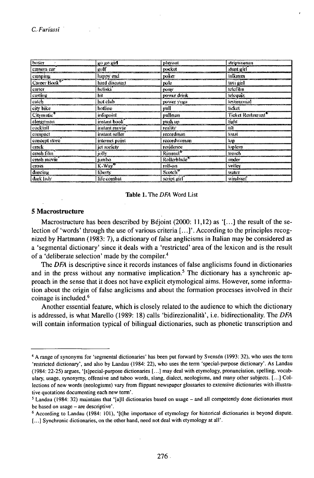| hoxer                  | go go girl      | playout                  | stripweanan        |
|------------------------|-----------------|--------------------------|--------------------|
| сащега саг             | gulf            | trucket                  | stunt girl         |
| camping                | happy end       | poker                    | lalkınan           |
| Caroer Book            | hard discount   | pole                     | taxi girl.         |
| carter                 | heliski         | рону                     | telefilm           |
| easting                | hit             | power drink              | telequiz.          |
| catch                  | twt club        | <b>IRHWEE YORE</b>       | testimonial        |
| eity bike              | hattine         | pall                     | ficket             |
| Citymatic <sup>v</sup> | infonoint.      | pullman                  | Ticket Restaurant' |
| clergyman              | instant book    | pash up                  | tight              |
| cocktail               | instant movie   | reality                  | tik                |
| compact                | instant seller  | recordman                | <b>Inast</b>       |
| concept store          | internet point  | recordwarman             | top                |
| crack                  | jet society     | residence                | topless            |
| crash film             | jolly           | Rimmel <sup>6</sup>      | trench             |
| crash movie            | junbo           | Rollerblade <sup>®</sup> | moter              |
| cross.                 | $K-Way^{\circ}$ | roll-on                  | volley             |
| dancing                | liberty         | Scotch <sup>*</sup>      | water              |
| dark lady              | life combat     | script girl              | wisdsurf           |

#### Table 1. The DFA Word List

#### 5 Macrostructure

Macrostructure has been described by Béjoint (2000: 11,12) as '[...] the result of the selection of 'words' through the use of various criteria [...]'. According to the principles recognized by Hartmann (1983: 7), a dictionary of false anglicisms in Italian may be considered as a 'segmental dictionary' since it deals with a 'restricted' area of the lexicon and is the result of a 'deliberate selection' made by the compiler.<sup>4</sup>

The DFA is descriptive since it records instances of false anglicisms found in dictionaries and in the press without any normative implication.<sup>5</sup> The dictionary has a synchronic approach in the sense that it does not have explicit etymological aims. However, some information about the origin of false anglicisms and about the formation processes involved in their coinage is included.<sup>6</sup>

Another essential feature, which is closely related to the audience to which the dictionary is addressed, is what Marello (1989: 18) calls 'bidirezionalità', i.e. bidirectionality. The DFA will contain information typical of bilingual dictionaries, such as phonetic transcription and

<sup>&</sup>lt;sup>4</sup> A range of synonyms for 'segmental dictionaries' has been put forward by Svensén (1993: 32), who uses the term 'restricted dictionary', and also by Landau (1984: 22), who uses the term 'special-purpose dictionary'. As Landau (1984: 22-25) argues, '[s]pecial-purpose dictionaries [...] may deal with etymology, pronunciation, spelling, vocabulary, usage, synonymy, offensive and taboo words, slang, dialect, neologisms, and many other subjects. [...] Collections of new words (neologisms) vary from flippant newspaper glossaries to extensive dictionaries with illustrative quotations documenting each new term'.

<sup>&</sup>lt;sup>5</sup> Landau (1984: 32) maintains that '[a]II dictionaries based on usage – and all competently done dictionaries must be based on usage – are descriptive'.

<sup>&</sup>lt;sup>6</sup> According to Landau (1984: 101), '[t]he importance of etymology for historical dictionaries is beyond dispute. [...] Synchronic dictionaries, on the other hand, need not deal with etymology at all'.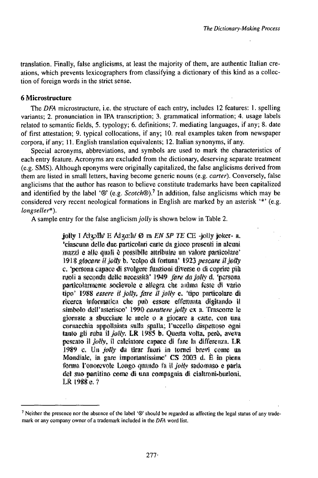translation. Finally, false anglicisms, at least the majority of them, are authentic Italian creations, which prevents lexicographers from classifying a dictionary of this kind as a collection of foreign words in the strict sense.

# 6 Microstructure

The DFA microstructure, i.e. the structure of each entry, includes 12 features: 1. spelling variants; 2. pronunciation in IPA transcription; 3. grammatical information; 4. usage labels related to semantic fields, 5. typology; 6. definitions; 7. mediating languages, if any; 8. date of first attestation; 9. typical collocations, if any; 10. real examples taken from newspaper corpora, if any; 11. English translation equivalents; 12. Italian synonyms, if any.

Special acronyms, abbreviations, and symbols are used to mark the characteristics of each entry feature. Acronyms are excluded from the dictionary, deserving separate treatment (e.g. SMS). Although eponyms were originally capitalized, the false anglicisms derived from them are listed in small letters, having become generic nouns (e.g. carter). Conversely, false anglicisms that the author has reason to believe constitute trademarks have been capitalized and identified by the label ' $\mathcal{D}'$  (e.g. *Scotch* $\mathcal{D}$ ).<sup>7</sup> In addition, false anglicisms which may be considered very recent neological formations in English are marked by an asterisk '\*' (e.g. longseller\*).

A sample entry for the false anglicism *jolly* is shown below in Table 2.

jolly I Alzally E Alzally  $\emptyset$  m EN SP TE CE -jolly joker- a. "ciascuna delle due narticolari carte da pinco presenti in alcuni. mazzi e alle quali è possibile attribuire un valore particolare' 1918 giocare il jolly b. "colpo di fortuna" 1923 pescare il jolly c. 'persona capace di svolgere funzioni diverse o di coprire più ruoli a seconda delle necessità. 1949 fare da folly d. 'persona. particolarmente socievole e allegra che anima feste di vario tipo' 1988 essere il jolly, fare il jolly e. 'tipo particolare di ricerca informatica che può essere effettuata digitando il simbolo dell'asterisco' 1990 carattere jelly ex a. Trascome le ciornate a shucciare le mele o a ciocare a carte, con una cornacchia appollaiata sulla spalla; l'uccello dispettoso ogni tanto gli ruba il *jolly*. LR 1985 b. Questa volta, però, aveva pescato il jolly, il calciatore capace di fare la differenza. LR 1989 c. Un *jolly* da tirar fuori in tornei brevi come un Mondiale, in gare importantissime<sup>3</sup> CS 2003 d. È in piena forma l'onorevole Longo quando fa il jolly sadomaso e parla del suo partitino come di una compagnia di cialtroni-burloni, LR 1988 e.?

<sup>&</sup>lt;sup>7</sup> Neither the presence nor the absence of the label '®' should be regarded as affecting the legal status of any trademark or any company owner of a trademark included in the DFA word list.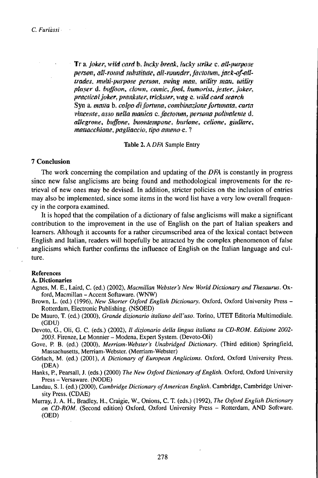Tr a. Joker, wild card b. Incky break, lucky strike v. all-purpose person, all-round substitute, all-rounder, factotum, jack-of-alltrades, multi-purpose person, swing man, utility man, utility player d. buffoon, clown, comic, foot, humorist, jetter, joker, practical joker, prankster, trickster, wag e. wild card search Syn a, marta b, colpo di fortuna, combinazione fortunata, cartavincente, asso nella manica c. factorum, persona polivalente d. allegrone, buffone, buontempane, burlone, celione, giullare, mattacchiane, pagliaccio, tipo ameno e. ?

Table 2. A DFA Sample Entry

# **7 Conclusion**

The work concerning the compilation and updating of the DFA is constantly in progress since new false anglicisms are being found and methodological improvements for the retrieval of new ones may be devised. In addition, stricter policies on the inclusion of entries may also be implemented, since some items in the word list have a very low overall frequency in the corpora examined.

It is hoped that the compilation of a dictionary of false anglicisms will make a significant contribution to the improvement in the use of English on the part of Italian speakers and learners. Although it accounts for a rather circumscribed area of the lexical contact between English and Italian, readers will hopefully be attracted by the complex phenomenon of false anglicisms which further confirms the influence of English on the Italian language and culture.

# **References**

#### A. Dictionaries

- Agnes, M. E., Laird, C. (ed.) (2002), Macmillan Webster's New World Dictionary and Thesaurus. Oxford, Macmillan - Accent Softaware. (WNW)
- Brown, L. (ed.) (1996), New Shorter Oxford English Dictionary. Oxford, Oxford University Press -Rotterdam, Electronic Publishing. (NSOED)
- De Mauro, T. (ed.) (2000), Grande dizionario italiano dell'uso. Torino, UTET Editoria Multimediale. (GDU)
- Devoto, G., Oli, G. C. (eds.) (2002), Il dizionario della lingua italiana su CD-ROM. Edizione 2002-2003. Firenze, Le Monnier – Modena, Expert System. (Devoto-Oli)
- Gove, P. B. (ed.) (2000), Merriam-Webster's Unabridged Dictionary. (Third edition) Springfield, Massachusetts, Merriam-Webster. (Merriam-Webster)
- Görlach, M. (ed.) (2001), A Dictionary of European Anglicisms. Oxford, Oxford University Press. (DEA)
- Hanks, P., Pearsall, J. (eds.) (2000) The New Oxford Dictionary of English. Oxford, Oxford University Press - Versaware. (NODE)
- Landau, S. I. (ed.) (2000), Cambridge Dictionary of American English. Cambridge, Cambridge University Press. (CDAE)
- Murray, J. A. H., Bradley, H., Craigie, W., Onions, C. T. (eds.) (1992), The Oxford English Dictionary on CD-ROM. (Second edition) Oxford, Oxford University Press - Rotterdam, AND Software.  $(OED)$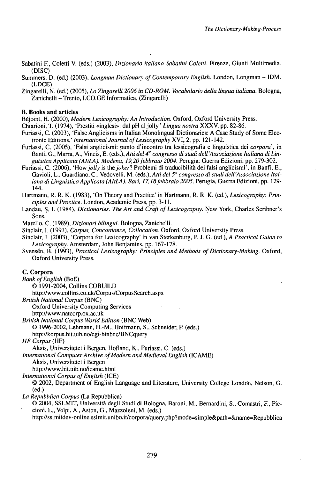- Sabatini F., Coletti V. (eds.) (2003), *Dizionario italiano Sabatini Coletti.* Firenze, Giunti Multimedia. (DISC)
- Summers, D. (ed.) (2003), *Longman Dictionary ofContemporary English.* London, Longman IDM. (LDCE)
- Zingarelli, N. (ed.) (2005), *Lo Zingarelli 2006 in CD-ROM. Vocabolario della lingua italiana.* Bologna, Zanichelli - Trento, I.CO.GE Informatica. (Zingarelli)

## **B. Books and articles**

Béjoint, H. (2000), *Modern Lexicography: An Introduction.* Oxford, Oxford University Press.

- Chiarioni, T. (1974), 'Prestiti «inglesi»: dal pH aljolly.' *Lingua nostra* XXXV, pp. 82-86.
- Furiassi, C. (2003), 'False Anglicisms in Italian Monolingual Dictionaries: A Case Study of Some Electronic Editions.' *International Journal ofLexicography* XVI, 2, pp. 121-142.
- Furiassi, C. (2005), 'Falsi anglicismi: punto d'incontro tra lessicografia e linguistica dei *corpora',* in Banti, G., Marra, A., Vineis, E. (eds.), *Atti del 4° congresso di studi dell'Associazione Italiana di LinguisticaApplicata (AItLA). Modena, I9,20febbraio 2004.* Perugia: Guerra Edizioni, pp. 279-302.
- Furiassi, C. (2006), *'Howjolly* is *thcjoker?* Problemi di traducibilità dei falsi anglicismi', in Banfi, E., Gavioli, L., Guardiano, C., Vedovelli, M. (eds.), *Atti del 5° congresso di studi dell'Associazione Italiana di LinguisticaApplicata (AItLA). Bari, I7,18febbraio 2005.* Perugia, Guerra Edizioni, pp. 129- 144.
- Hartmann, R. R. K. (1983), 'On Theory and Practice' in Hartmann, R. R. K. (ed.), *Lexicography: Principles and Practice.* London, Academic Press, pp. 3-11.
- Landau, S. I. (1984), *Dictionaries. TheArt and Craft ofLexicography.* New York, Charles Scribner's Sons.

Marello, C. (1989), *Dizionari bilingui.* Bologna, Zanichelli.

- Sinclair, J. (1991), *Corpus, Concordance, Collocation.* Oxford, Oxford University Press.
- Sinclair, J. (2003), 'Corpora for Lexicography' in van Sterkenburg, P. J. G. (ed.), *A Practical Guide to Lexicography.* Amsterdam, John Benjamins, pp. 167-178.
- Svensén, B. (1993), *Practical Lexicography: Principles andMethods ofDictionary-Making.* Oxford, Oxford University Press.

# **C. Corpora**

*Bank ofEnglish* (BoE)

© 1991 -2004, Collins COBUILD

http://www.collins.co.uk/Corpus/CorpusSearch.aspx

- *British National Corpus* (BNC)
	- Oxford University Computing Services

http://www.natcorp.ox.ac.uk

*British National Corpus World Edition* (BNC Web)

© 1996-2002, Lehmann, H.-M., Hoffmann, S., Schneider, P. (eds.)

http://korpus.hit.uib.no/cgi-binbnc/BNCquery

*HF Corpus* (HF)

Aksis, Universitetet <sup>i</sup> Bergen, Hofland, K., Furiassi, C. (eds.)

*International ComputerArchive ofModern and Medieval English* (ICAME)

Aksis, Universitetet <sup>i</sup> Bergen

http://www.hit.uib.no/icame.html

*International Corpus ofEnglish* (ICE)

© 2002, Department of English Language and Literature, University College London, Nelson, G. (ed.)

*La Repubblica Corpus* (La Repubblica)

© 2004, SSLMIT, Università degli Studi di Bologna, Baroni, M., Bernardini, S., Comastri, F., Piccioni, L., Volpi, A., Aston, G., Mazzoleni, M. (eds.)

http://sslmitdev-online.sslmit.unibo.it/corpora/query.php?mode=simple&path=&name=Repubblica